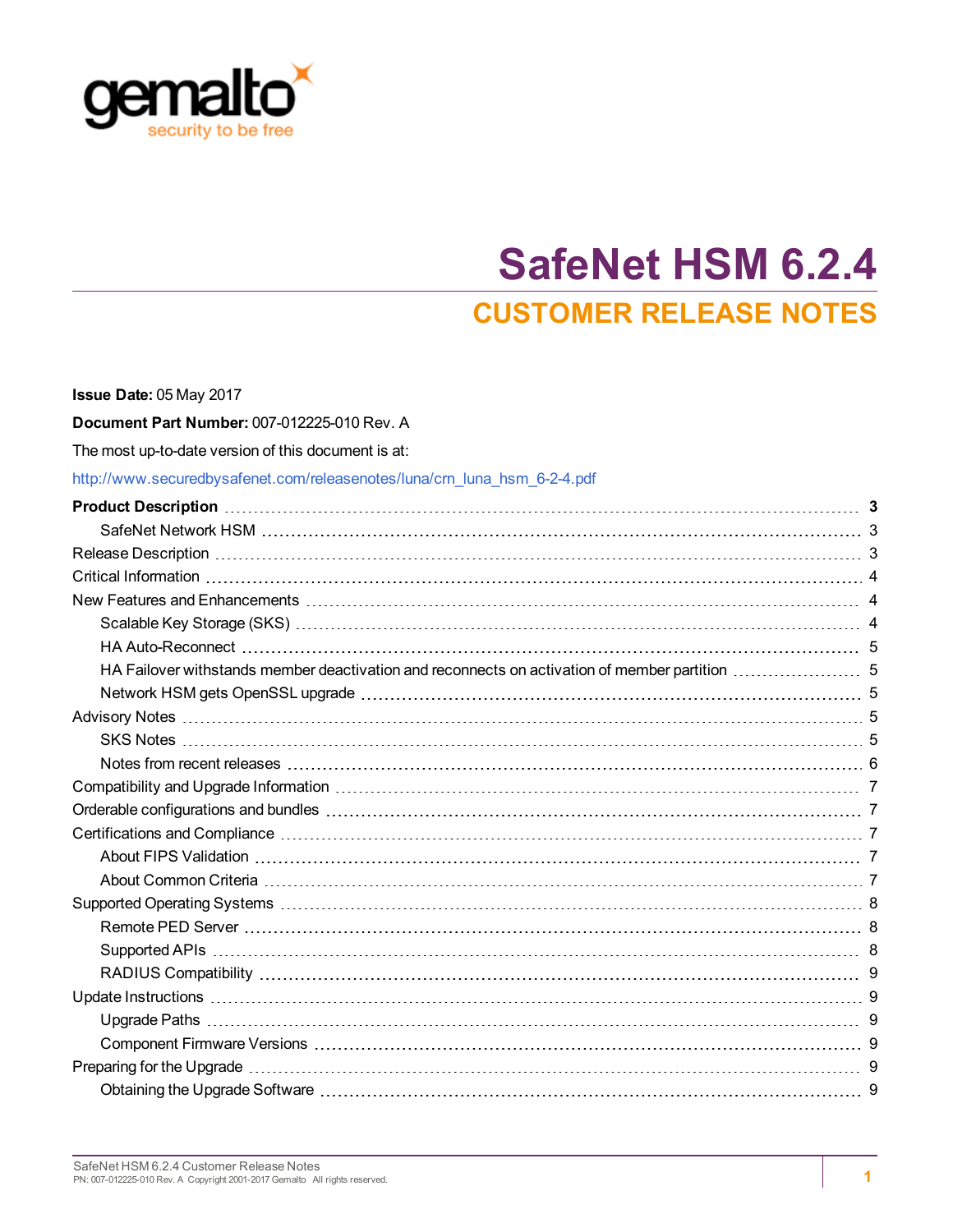

# **SafeNet HSM 6.2.4 CUSTOMER RELEASE NOTES**

| Issue Date: 05 May 2017                                                  |  |
|--------------------------------------------------------------------------|--|
| Document Part Number: 007-012225-010 Rev. A                              |  |
| The most up-to-date version of this document is at:                      |  |
| http://www.securedbysafenet.com/releasenotes/luna/crn luna hsm 6-2-4.pdf |  |
|                                                                          |  |
|                                                                          |  |
|                                                                          |  |
|                                                                          |  |
|                                                                          |  |
|                                                                          |  |
|                                                                          |  |
|                                                                          |  |
|                                                                          |  |
|                                                                          |  |
|                                                                          |  |
|                                                                          |  |
|                                                                          |  |
|                                                                          |  |
|                                                                          |  |
|                                                                          |  |
|                                                                          |  |
|                                                                          |  |
|                                                                          |  |
|                                                                          |  |
|                                                                          |  |
|                                                                          |  |
|                                                                          |  |
|                                                                          |  |
|                                                                          |  |
|                                                                          |  |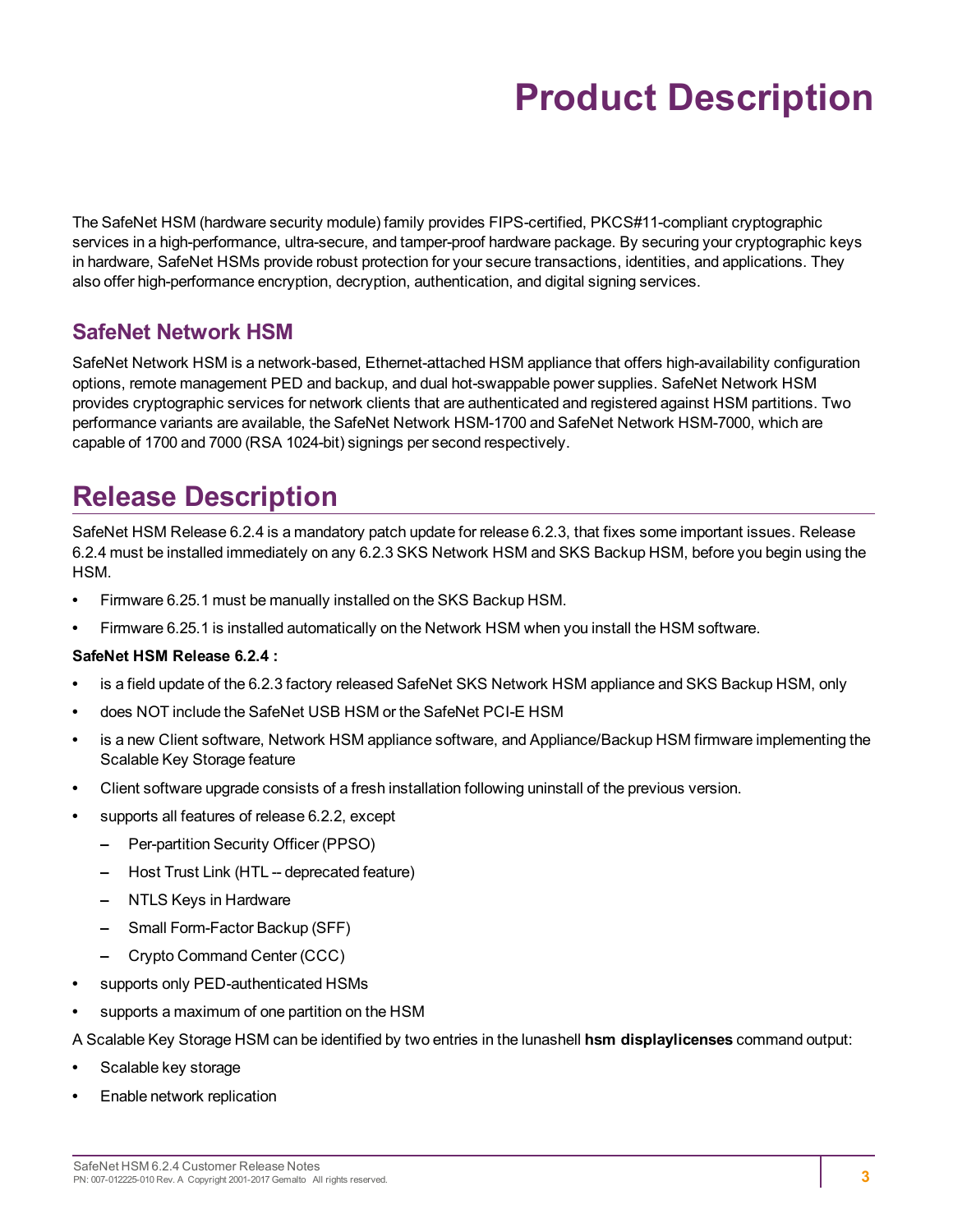# **Product Description**

<span id="page-2-0"></span>The SafeNet HSM (hardware security module) family provides FIPS-certified, PKCS#11-compliant cryptographic services in a high-performance, ultra-secure, and tamper-proof hardware package. By securing your cryptographic keys in hardware, SafeNet HSMs provide robust protection for your secure transactions, identities, and applications. They also offer high-performance encryption, decryption, authentication, and digital signing services.

### <span id="page-2-1"></span>**SafeNet Network HSM**

SafeNet Network HSM is a network-based, Ethernet-attached HSM appliance that offers high-availability configuration options, remote management PED and backup, and dual hot-swappable power supplies. SafeNet Network HSM provides cryptographic services for network clients that are authenticated and registered against HSM partitions. Two performance variants are available, the SafeNet Network HSM-1700 and SafeNet Network HSM-7000, which are capable of 1700 and 7000 (RSA 1024-bit) signings per second respectively.

## <span id="page-2-2"></span>**Release Description**

SafeNet HSM Release 6.2.4 is a mandatory patch update for release 6.2.3, that fixes some important issues. Release 6.2.4 must be installed immediately on any 6.2.3 SKS Network HSM and SKS Backup HSM, before you begin using the HSM.

- **•** Firmware 6.25.1 must be manually installed on the SKS Backup HSM.
- **•** Firmware 6.25.1 is installed automatically on the Network HSM when you install the HSM software.

#### **SafeNet HSM Release 6.2.4 :**

- **•** is a field update of the 6.2.3 factory released SafeNet SKS Network HSM appliance and SKS Backup HSM, only
- **•** does NOT include the SafeNet USB HSM or the SafeNet PCI-E HSM
- **•** is a new Client software, Network HSM appliance software, and Appliance/Backup HSM firmware implementing the Scalable Key Storage feature
- **•** Client software upgrade consists of a fresh installation following uninstall of the previous version.
- **•** supports all features of release 6.2.2, except
	- **–** Per-partition Security Officer (PPSO)
	- **–** Host Trust Link (HTL -- deprecated feature)
	- **–** NTLS Keys in Hardware
	- **–** Small Form-Factor Backup (SFF)
	- **–** Crypto Command Center (CCC)
- **•** supports only PED-authenticated HSMs
- **•** supports a maximum of one partition on the HSM

A Scalable Key Storage HSM can be identified by two entries in the lunashell **hsm displaylicenses** command output:

- **•** Scalable key storage
- **•** Enable network replication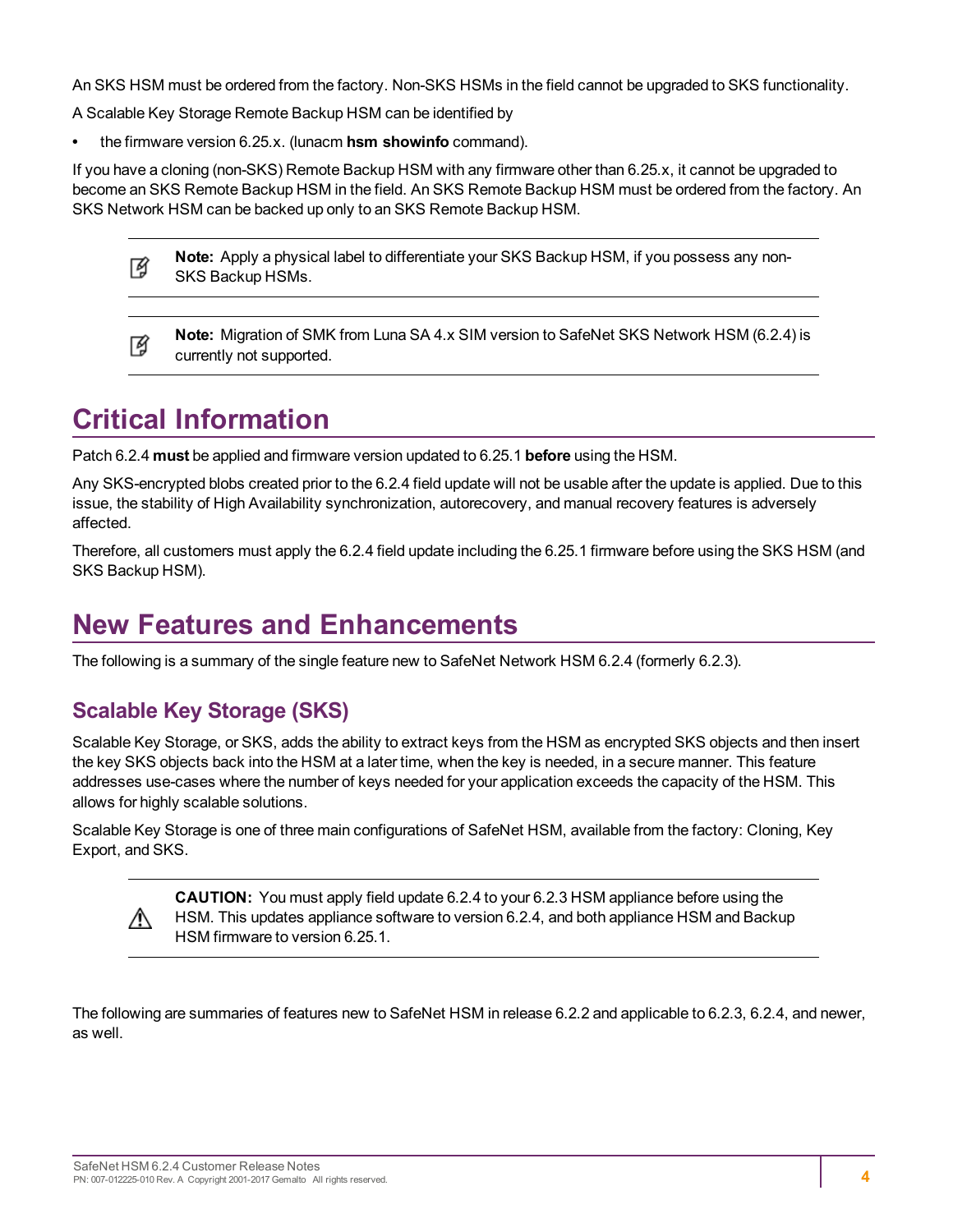An SKS HSM must be ordered from the factory. Non-SKS HSMs in the field cannot be upgraded to SKS functionality.

A Scalable Key Storage Remote Backup HSM can be identified by

**•** the firmware version 6.25.x. (lunacm **hsm showinfo** command).

If you have a cloning (non-SKS) Remote Backup HSM with any firmware other than 6.25.x, it cannot be upgraded to become an SKS Remote Backup HSM in the field. An SKS Remote Backup HSM must be ordered from the factory. An SKS Network HSM can be backed up only to an SKS Remote Backup HSM.

| 至 | Note: Apply a physical label to differentiate your SKS Backup HSM, if you possess any non- |
|---|--------------------------------------------------------------------------------------------|
|   | SKS Backup HSMs.                                                                           |

**Note:** Migration of SMK from Luna SA 4.x SIM version to SafeNet SKS Network HSM (6.2.4) is 放 currently not supported.

## <span id="page-3-0"></span>**Critical Information**

Patch 6.2.4 **must** be applied and firmware version updated to 6.25.1 **before** using the HSM.

Any SKS-encrypted blobs created prior to the 6.2.4 field update will not be usable after the update is applied. Due to this issue, the stability of High Availability synchronization, autorecovery, and manual recovery features is adversely affected.

Therefore, all customers must apply the 6.2.4 field update including the 6.25.1 firmware before using the SKS HSM (and SKS Backup HSM).

## <span id="page-3-1"></span>**New Features and Enhancements**

<span id="page-3-2"></span>The following is a summary of the single feature new to SafeNet Network HSM 6.2.4 (formerly 6.2.3).

## **Scalable Key Storage (SKS)**

∧

Scalable Key Storage, or SKS, adds the ability to extract keys from the HSM as encrypted SKS objects and then insert the key SKS objects back into the HSM at a later time, when the key is needed, in a secure manner. This feature addresses use-cases where the number of keys needed for your application exceeds the capacity of the HSM. This allows for highly scalable solutions.

Scalable Key Storage is one of three main configurations of SafeNet HSM, available from the factory: Cloning, Key Export, and SKS.

> **CAUTION:** You must apply field update 6.2.4 to your 6.2.3 HSM appliance before using the HSM. This updates appliance software to version 6.2.4, and both appliance HSM and Backup HSM firmware to version 6.25.1.

The following are summaries of features new to SafeNet HSM in release 6.2.2 and applicable to 6.2.3, 6.2.4, and newer, as well.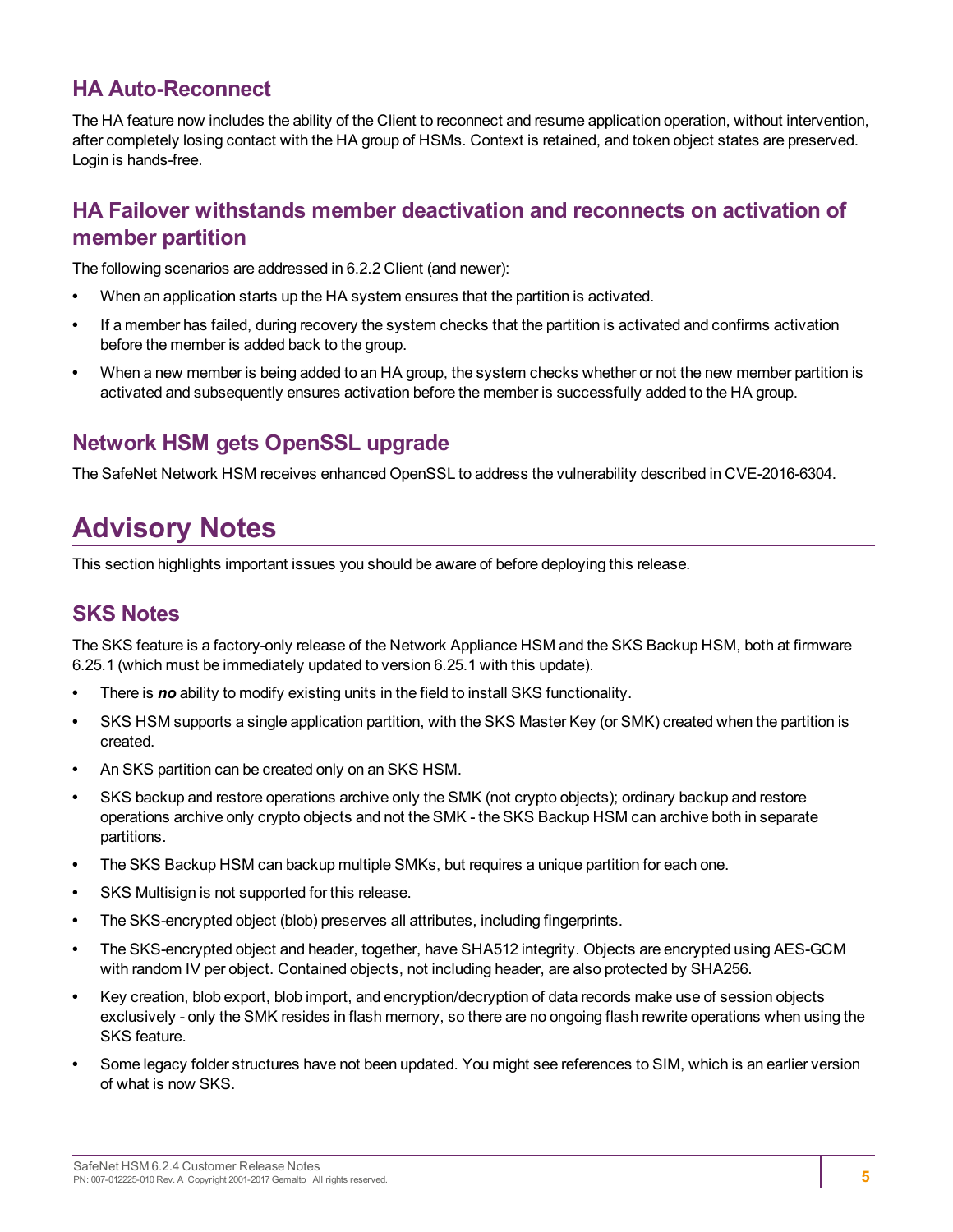### <span id="page-4-0"></span>**HA Auto-Reconnect**

The HA feature now includes the ability of the Client to reconnect and resume application operation, without intervention, after completely losing contact with the HA group of HSMs. Context is retained, and token object states are preserved. Login is hands-free.

### <span id="page-4-1"></span>**HA Failover withstands member deactivation and reconnects on activation of member partition**

The following scenarios are addressed in 6.2.2 Client (and newer):

- **•** When an application starts up the HA system ensures that the partition is activated.
- **•** If a member has failed, during recovery the system checks that the partition is activated and confirms activation before the member is added back to the group.
- **•** When a new member is being added to an HA group, the system checks whether or not the new member partition is activated and subsequently ensures activation before the member is successfully added to the HA group.

## <span id="page-4-2"></span>**Network HSM gets OpenSSL upgrade**

<span id="page-4-3"></span>The SafeNet Network HSM receives enhanced OpenSSL to address the vulnerability described in CVE-2016-6304.

## **Advisory Notes**

<span id="page-4-4"></span>This section highlights important issues you should be aware of before deploying this release.

### **SKS Notes**

The SKS feature is a factory-only release of the Network Appliance HSM and the SKS Backup HSM, both at firmware 6.25.1 (which must be immediately updated to version 6.25.1 with this update).

- **•** There is *no* ability to modify existing units in the field to install SKS functionality.
- **•** SKS HSM supports a single application partition, with the SKS Master Key (or SMK) created when the partition is created.
- **•** An SKS partition can be created only on an SKS HSM.
- **•** SKS backup and restore operations archive only the SMK (not crypto objects); ordinary backup and restore operations archive only crypto objects and not the SMK - the SKS Backup HSM can archive both in separate partitions.
- **•** The SKS Backup HSM can backup multiple SMKs, but requires a unique partition for each one.
- **•** SKS Multisign is not supported for this release.
- **•** The SKS-encrypted object (blob) preserves all attributes, including fingerprints.
- **•** The SKS-encrypted object and header, together, have SHA512 integrity. Objects are encrypted using AES-GCM with random IV per object. Contained objects, not including header, are also protected by SHA256.
- **•** Key creation, blob export, blob import, and encryption/decryption of data records make use of session objects exclusively - only the SMK resides in flash memory, so there are no ongoing flash rewrite operations when using the SKS feature.
- **•** Some legacy folder structures have not been updated. You might see references to SIM, which is an earlier version of what is now SKS.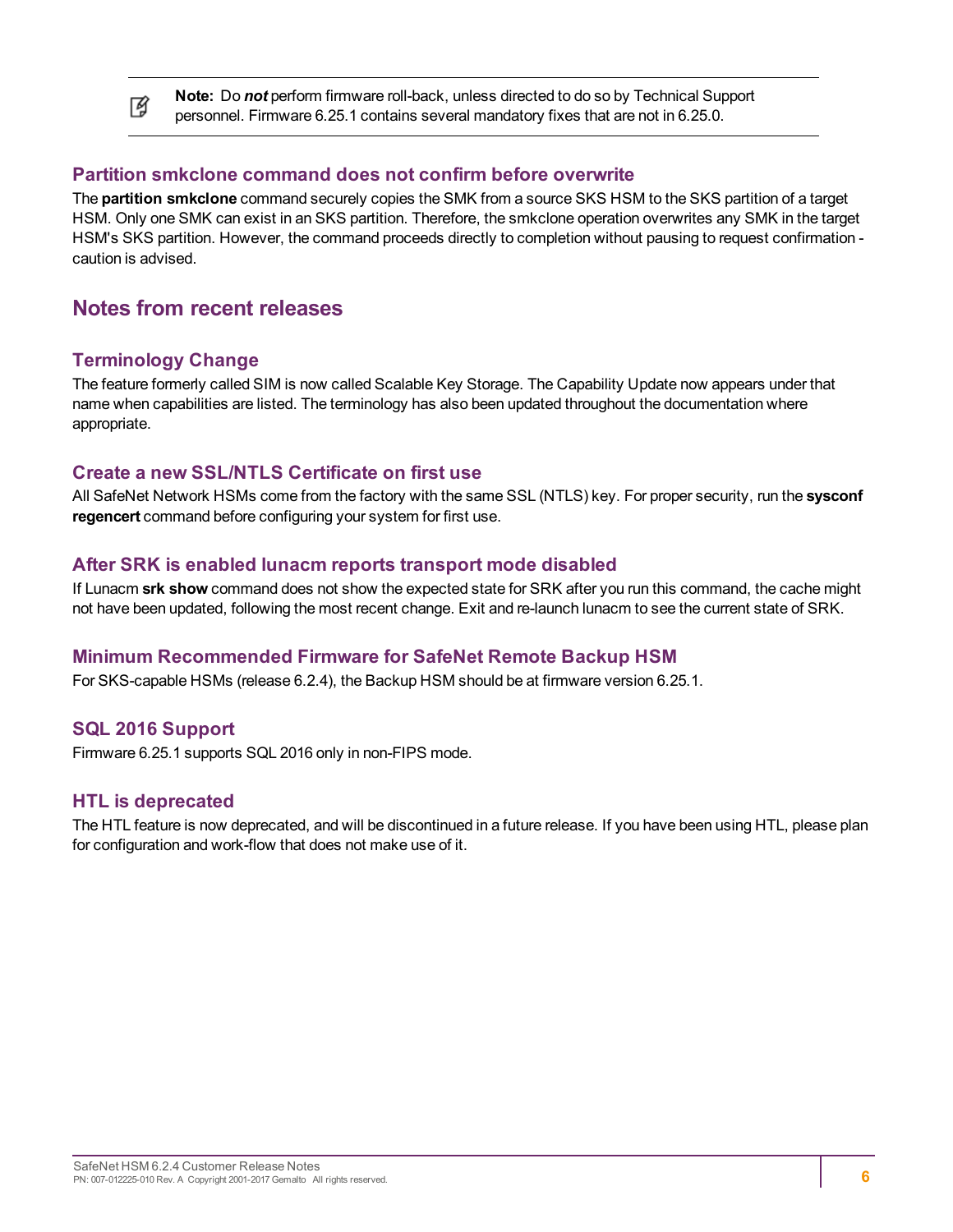**Note:** Do *not* perform firmware roll-back, unless directed to do so by Technical Support personnel. Firmware 6.25.1 contains several mandatory fixes that are not in 6.25.0.

#### **Partition smkclone command does not confirm before overwrite**

The **partition smkclone** command securely copies the SMK from a source SKS HSM to the SKS partition of a target HSM. Only one SMK can exist in an SKS partition. Therefore, the smkclone operation overwrites any SMK in the target HSM's SKS partition. However, the command proceeds directly to completion without pausing to request confirmation caution is advised.

#### <span id="page-5-0"></span>**Notes from recent releases**

#### **Terminology Change**

ᢙ

The feature formerly called SIM is now called Scalable Key Storage. The Capability Update now appears under that name when capabilities are listed. The terminology has also been updated throughout the documentation where appropriate.

#### **Create a new SSL/NTLS Certificate on first use**

All SafeNet Network HSMs come from the factory with the same SSL (NTLS) key. For proper security, run the **sysconf regencert** command before configuring your system for first use.

#### **After SRK is enabled lunacm reports transport mode disabled**

If Lunacm **srk show** command does not show the expected state for SRK after you run this command, the cache might not have been updated, following the most recent change. Exit and re-launch lunacm to see the current state of SRK.

#### **Minimum Recommended Firmware for SafeNet Remote Backup HSM**

For SKS-capable HSMs (release 6.2.4), the Backup HSM should be at firmware version 6.25.1.

#### **SQL 2016 Support**

Firmware 6.25.1 supports SQL 2016 only in non-FIPS mode.

#### **HTL is deprecated**

The HTL feature is now deprecated, and will be discontinued in a future release. If you have been using HTL, please plan for configuration and work-flow that does not make use of it.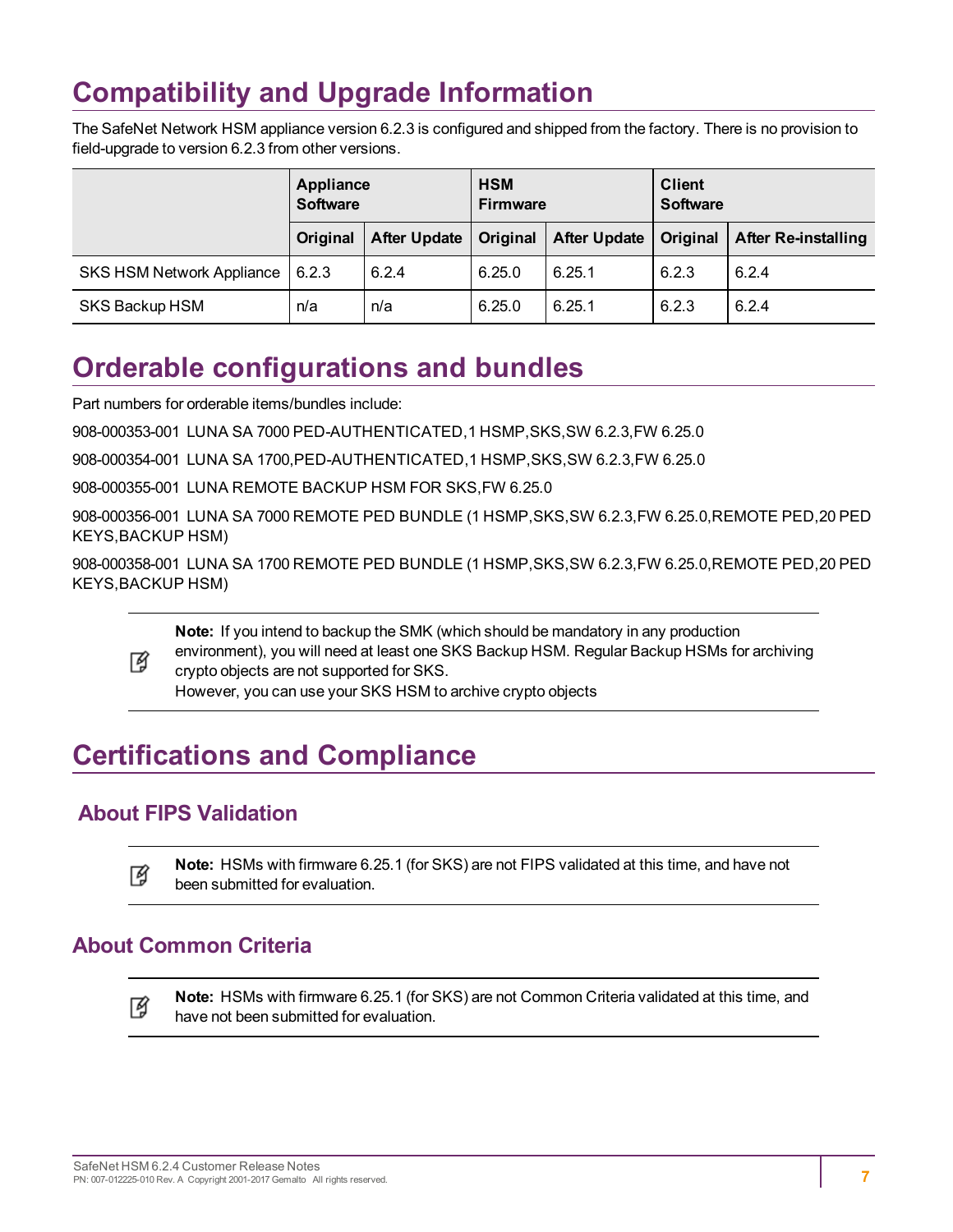## <span id="page-6-0"></span>**Compatibility and Upgrade Information**

The SafeNet Network HSM appliance version 6.2.3 is configured and shipped from the factory. There is no provision to field-upgrade to version 6.2.3 from other versions.

|                                  | Appliance<br><b>Software</b> |                     | <b>HSM</b><br><b>Firmware</b> |                     | <b>Client</b><br><b>Software</b> |                            |
|----------------------------------|------------------------------|---------------------|-------------------------------|---------------------|----------------------------------|----------------------------|
|                                  | Original                     | <b>After Update</b> | Original                      | <b>After Update</b> | Original                         | <b>After Re-installing</b> |
| <b>SKS HSM Network Appliance</b> | 6.2.3                        | 6.2.4               | 6.25.0                        | 6.25.1              | 6.2.3                            | 6.2.4                      |
| SKS Backup HSM                   | n/a                          | n/a                 | 6.25.0                        | 6.25.1              | 6.2.3                            | 6.2.4                      |

## <span id="page-6-1"></span>**Orderable configurations and bundles**

Part numbers for orderable items/bundles include:

908-000353-001 LUNA SA 7000 PED-AUTHENTICATED,1 HSMP,SKS,SW 6.2.3,FW 6.25.0

908-000354-001 LUNA SA 1700,PED-AUTHENTICATED,1 HSMP,SKS,SW 6.2.3,FW 6.25.0

908-000355-001 LUNA REMOTE BACKUP HSM FOR SKS,FW 6.25.0

908-000356-001 LUNA SA 7000 REMOTE PED BUNDLE (1 HSMP,SKS,SW 6.2.3,FW 6.25.0,REMOTE PED,20 PED KEYS,BACKUP HSM)

908-000358-001 LUNA SA 1700 REMOTE PED BUNDLE (1 HSMP,SKS,SW 6.2.3,FW 6.25.0,REMOTE PED,20 PED KEYS,BACKUP HSM)

**Note:** If you intend to backup the SMK (which should be mandatory in any production

environment), you will need at least one SKS Backup HSM. Regular Backup HSMs for archiving ᢙ crypto objects are not supported for SKS.

However, you can use your SKS HSM to archive crypto objects

## <span id="page-6-2"></span>**Certifications and Compliance**

## <span id="page-6-3"></span>**About FIPS Validation**

**Note:** HSMs with firmware 6.25.1 (for SKS) are not FIPS validated at this time, and have not 放 been submitted for evaluation.

## <span id="page-6-4"></span>**About Common Criteria**

**Note:** HSMs with firmware 6.25.1 (for SKS) are not Common Criteria validated at this time, and 放 have not been submitted for evaluation.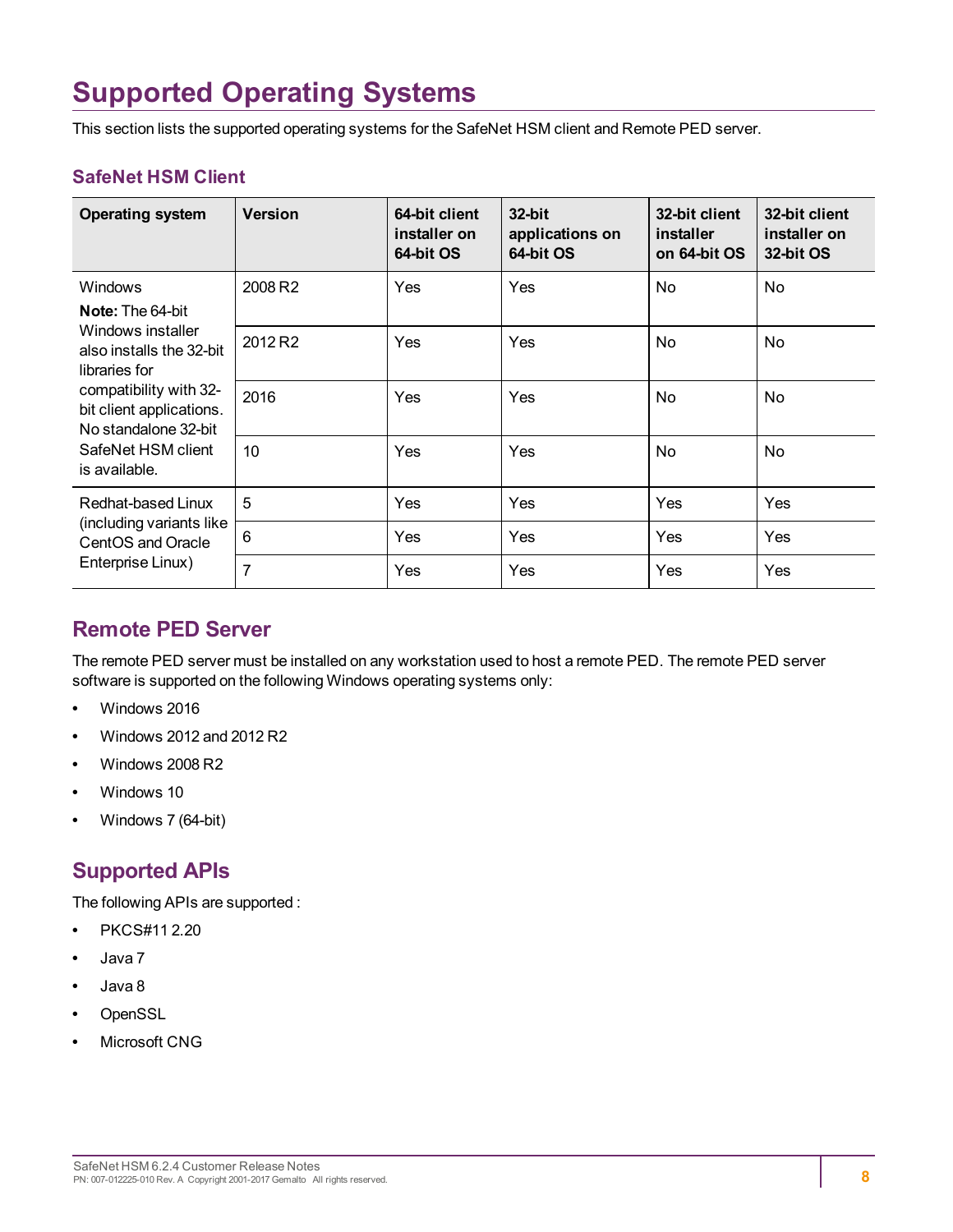## <span id="page-7-0"></span>**Supported Operating Systems**

This section lists the supported operating systems for the SafeNet HSM client and Remote PED server.

#### **SafeNet HSM Client**

| <b>Operating system</b>                                                                                           | <b>Version</b>      | 64-bit client<br>installer on<br>64-bit OS | 32-bit<br>applications on<br>64-bit OS | 32-bit client<br>installer<br>on 64-bit OS | 32-bit client<br>installer on<br>32-bit OS |
|-------------------------------------------------------------------------------------------------------------------|---------------------|--------------------------------------------|----------------------------------------|--------------------------------------------|--------------------------------------------|
| <b>Windows</b><br><b>Note:</b> The 64-bit                                                                         | 2008 R <sub>2</sub> | Yes                                        | Yes                                    | No                                         | No.                                        |
| Windows installer<br>also installs the 32-bit<br>libraries for                                                    | 2012 R <sub>2</sub> | Yes                                        | Yes                                    | No                                         | No                                         |
| compatibility with 32-<br>bit client applications.<br>No standalone 32-bit<br>SafeNet HSM client<br>is available. | 2016                | Yes                                        | Yes                                    | No                                         | No                                         |
|                                                                                                                   | 10                  | Yes                                        | Yes                                    | No                                         | No                                         |
| Redhat-based Linux<br>(including variants like)<br>CentOS and Oracle<br>Enterprise Linux)                         | 5                   | Yes                                        | Yes                                    | Yes                                        | Yes                                        |
|                                                                                                                   | 6                   | Yes                                        | Yes                                    | Yes                                        | Yes                                        |
|                                                                                                                   | 7                   | Yes                                        | Yes                                    | Yes                                        | Yes                                        |

### <span id="page-7-1"></span>**Remote PED Server**

The remote PED server must be installed on any workstation used to host a remote PED. The remote PED server software is supported on the following Windows operating systems only:

- **•** Windows 2016
- **•** Windows 2012 and 2012 R2
- **•** Windows 2008 R2
- **•** Windows 10
- <span id="page-7-2"></span>**•** Windows 7 (64-bit)

## **Supported APIs**

The following APIs are supported :

- **•** PKCS#11 2.20
- **•** Java 7
- **•** Java 8
- **•** OpenSSL
- **•** Microsoft CNG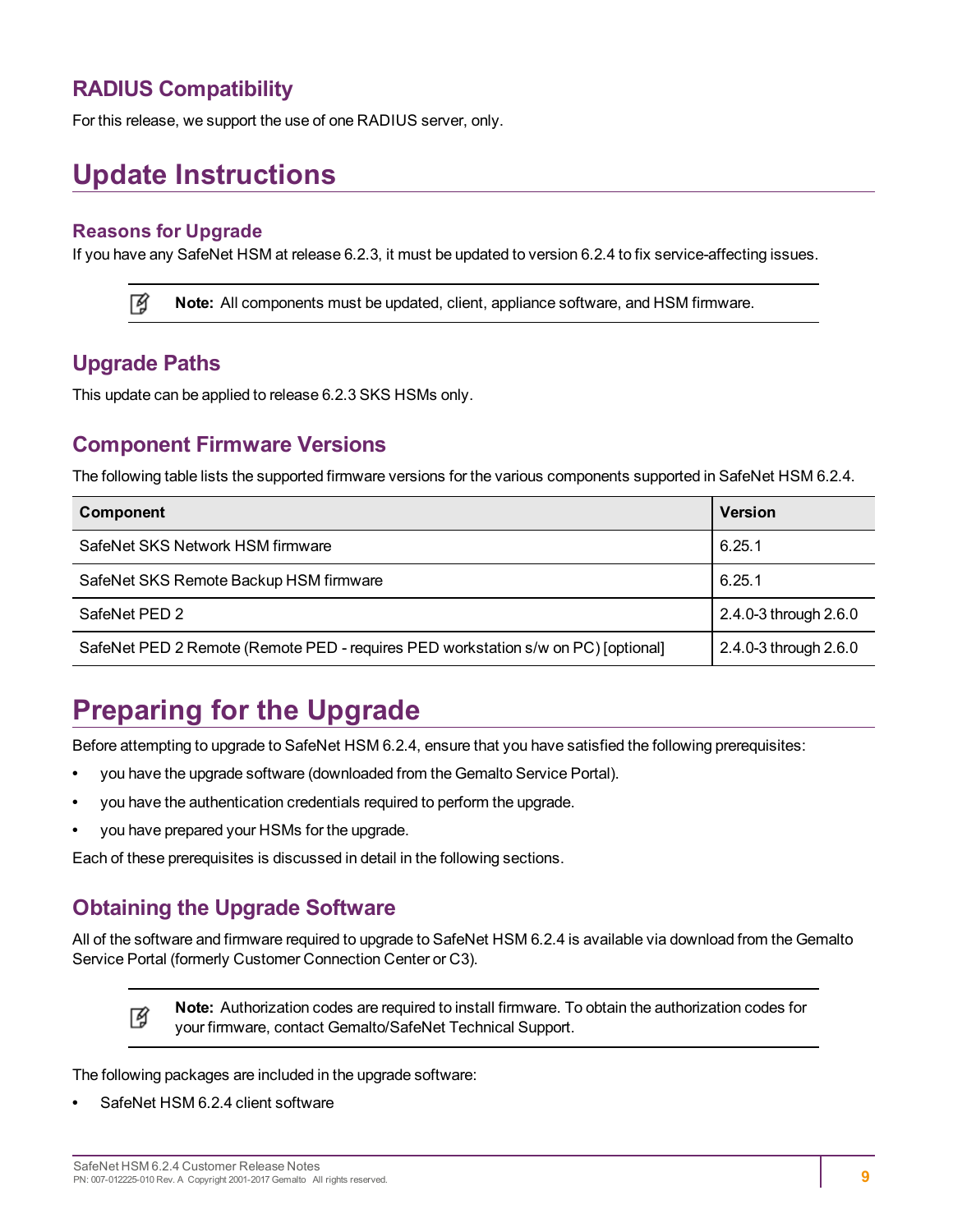### <span id="page-8-0"></span>**RADIUS Compatibility**

<span id="page-8-1"></span>For this release, we support the use of one RADIUS server, only.

## **Update Instructions**

#### **Reasons for Upgrade**

If you have any SafeNet HSM at release 6.2.3, it must be updated to version 6.2.4 to fix service-affecting issues.

岡 **Note:** All components must be updated, client, appliance software, and HSM firmware.

### <span id="page-8-2"></span>**Upgrade Paths**

<span id="page-8-3"></span>This update can be applied to release 6.2.3 SKS HSMs only.

#### **Component Firmware Versions**

The following table lists the supported firmware versions for the various components supported in SafeNet HSM 6.2.4.

| Component                                                                         | <b>Version</b>        |
|-----------------------------------------------------------------------------------|-----------------------|
| SafeNet SKS Network HSM firmware                                                  | 6.25.1                |
| SafeNet SKS Remote Backup HSM firmware                                            | 6.25.1                |
| SafeNet PED 2                                                                     | 2.4.0-3 through 2.6.0 |
| SafeNet PED 2 Remote (Remote PED - requires PED workstation s/w on PC) [optional] | 2.4.0-3 through 2.6.0 |

## <span id="page-8-4"></span>**Preparing for the Upgrade**

Before attempting to upgrade to SafeNet HSM 6.2.4, ensure that you have satisfied the following prerequisites:

- **•** you have the upgrade software (downloaded from the Gemalto Service Portal).
- **•** you have the authentication credentials required to perform the upgrade.
- **•** you have prepared your HSMs for the upgrade.

<span id="page-8-5"></span>Each of these prerequisites is discussed in detail in the following sections.

### **Obtaining the Upgrade Software**

All of the software and firmware required to upgrade to SafeNet HSM 6.2.4 is available via download from the Gemalto Service Portal (formerly Customer Connection Center or C3).

> **Note:** Authorization codes are required to install firmware. To obtain the authorization codes for your firmware, contact Gemalto/SafeNet Technical Support.

The following packages are included in the upgrade software:

**•** SafeNet HSM 6.2.4 client software

岡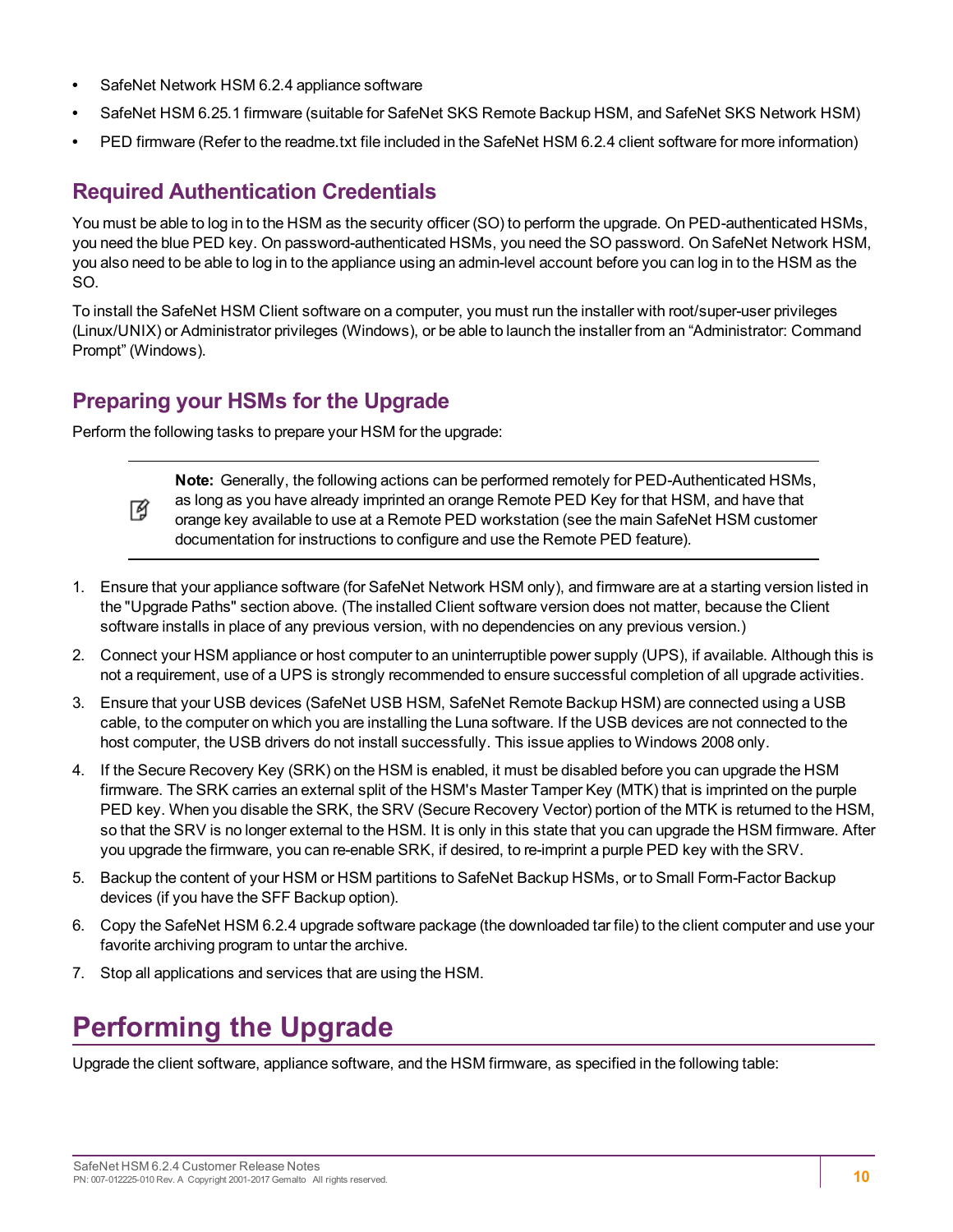- **•** SafeNet Network HSM 6.2.4 appliance software
- **•** SafeNet HSM 6.25.1 firmware (suitable for SafeNet SKS Remote Backup HSM, and SafeNet SKS Network HSM)
- <span id="page-9-0"></span>**•** PED firmware (Refer to the readme.txt file included in the SafeNet HSM 6.2.4 client software for more information)

## **Required Authentication Credentials**

You must be able to log in to the HSM as the security officer (SO) to perform the upgrade. On PED-authenticated HSMs, you need the blue PED key. On password-authenticated HSMs, you need the SO password. On SafeNet Network HSM, you also need to be able to log in to the appliance using an admin-level account before you can log in to the HSM as the SO.

To install the SafeNet HSM Client software on a computer, you must run the installer with root/super-user privileges (Linux/UNIX) or Administrator privileges (Windows), or be able to launch the installer from an "Administrator: Command Prompt" (Windows).

## <span id="page-9-1"></span>**Preparing your HSMs for the Upgrade**

Perform the following tasks to prepare your HSM for the upgrade:



**Note:** Generally, the following actions can be performed remotely for PED-Authenticated HSMs, as long as you have already imprinted an orange Remote PED Key for that HSM, and have that orange key available to use at a Remote PED workstation (see the main SafeNet HSM customer documentation for instructions to configure and use the Remote PED feature).

- 1. Ensure that your appliance software (for SafeNet Network HSM only), and firmware are at a starting version listed in the "Upgrade Paths" section above. (The installed Client software version does not matter, because the Client software installs in place of any previous version, with no dependencies on any previous version.)
- 2. Connect your HSM appliance or host computer to an uninterruptible power supply (UPS), if available. Although this is not a requirement, use of a UPS is strongly recommended to ensure successful completion of all upgrade activities.
- 3. Ensure that your USB devices (SafeNet USB HSM, SafeNet Remote Backup HSM) are connected using a USB cable, to the computer on which you are installing the Luna software. If the USB devices are not connected to the host computer, the USB drivers do not install successfully. This issue applies to Windows 2008 only.
- 4. If the Secure Recovery Key (SRK) on the HSM is enabled, it must be disabled before you can upgrade the HSM firmware. The SRK carries an external split of the HSM's Master Tamper Key (MTK) that is imprinted on the purple PED key. When you disable the SRK, the SRV (Secure Recovery Vector) portion of the MTK is returned to the HSM, so that the SRV is no longer external to the HSM. It is only in this state that you can upgrade the HSM firmware. After you upgrade the firmware, you can re-enable SRK, if desired, to re-imprint a purple PED key with the SRV.
- 5. Backup the content of your HSM or HSM partitions to SafeNet Backup HSMs, or to Small Form-Factor Backup devices (if you have the SFF Backup option).
- 6. Copy the SafeNet HSM 6.2.4 upgrade software package (the downloaded tar file) to the client computer and use your favorite archiving program to untar the archive.
- <span id="page-9-2"></span>7. Stop all applications and services that are using the HSM.

## **Performing the Upgrade**

Upgrade the client software, appliance software, and the HSM firmware, as specified in the following table: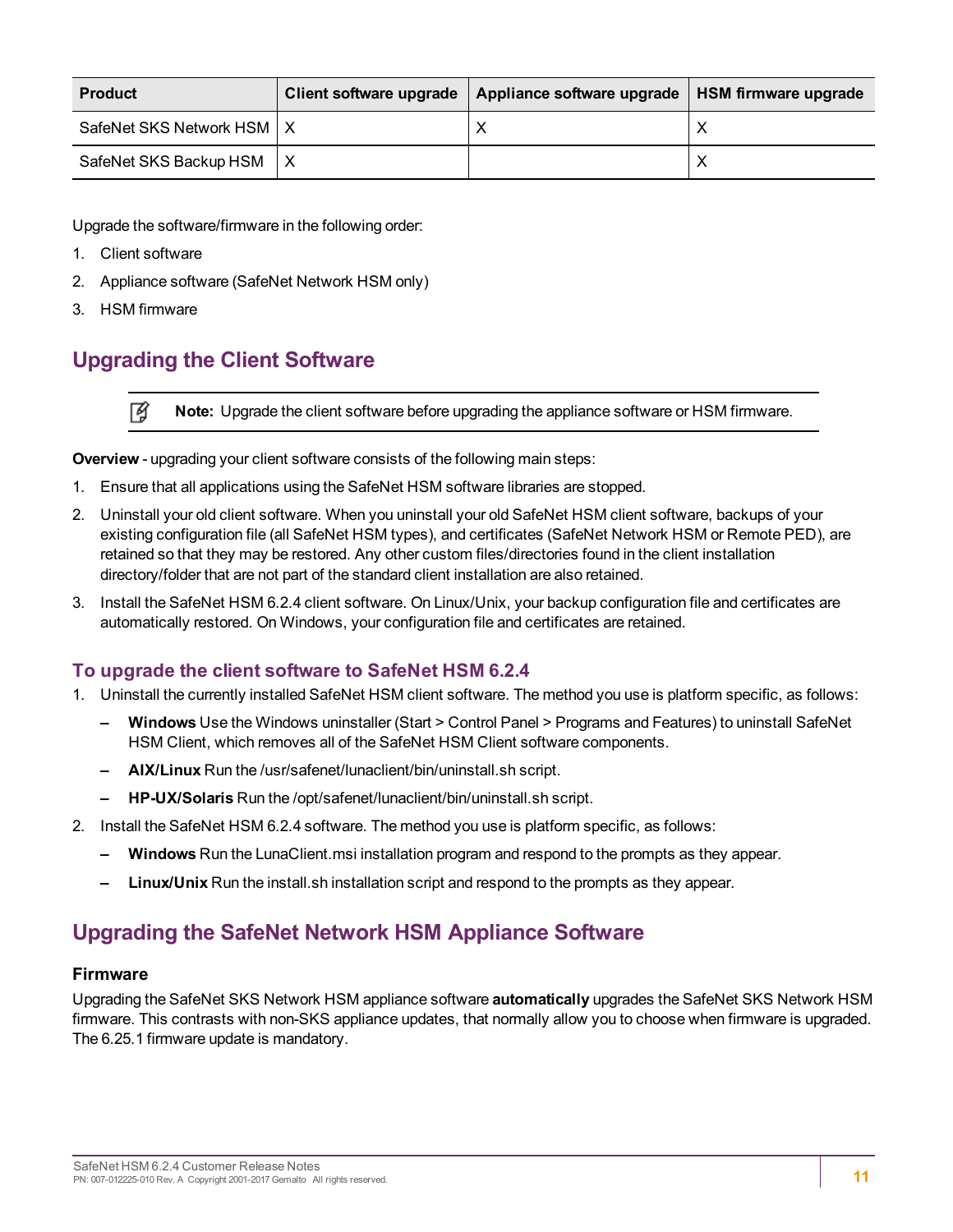| <b>Product</b>              | Client software upgrade | Appliance software upgrade | HSM firmware upgrade |
|-----------------------------|-------------------------|----------------------------|----------------------|
| SafeNet SKS Network HSM   X |                         | ∧                          | ↗                    |
| SafeNet SKS Backup HSM      |                         |                            |                      |

Upgrade the software/firmware in the following order:

- 1. Client software
- 2. Appliance software (SafeNet Network HSM only)
- <span id="page-10-0"></span>3. HSM firmware

## **Upgrading the Client Software**

放 **Note:** Upgrade the client software before upgrading the appliance software or HSM firmware.

**Overview** - upgrading your client software consists of the following main steps:

- 1. Ensure that all applications using the SafeNet HSM software libraries are stopped.
- 2. Uninstall your old client software. When you uninstall your old SafeNet HSM client software, backups of your existing configuration file (all SafeNet HSM types), and certificates (SafeNet Network HSM or Remote PED), are retained so that they may be restored. Any other custom files/directories found in the client installation directory/folder that are not part of the standard client installation are also retained.
- 3. Install the SafeNet HSM 6.2.4 client software. On Linux/Unix, your backup configuration file and certificates are automatically restored. On Windows, your configuration file and certificates are retained.

#### **To upgrade the client software to SafeNet HSM 6.2.4**

- 1. Uninstall the currently installed SafeNet HSM client software. The method you use is platform specific, as follows:
	- **– Windows** Use the Windows uninstaller (Start > Control Panel > Programs and Features) to uninstall SafeNet HSM Client, which removes all of the SafeNet HSM Client software components.
	- **– AIX/Linux** Run the /usr/safenet/lunaclient/bin/uninstall.sh script.
	- **– HP-UX/Solaris** Run the /opt/safenet/lunaclient/bin/uninstall.sh script.
- 2. Install the SafeNet HSM 6.2.4 software. The method you use is platform specific, as follows:
	- **– Windows** Run the LunaClient.msi installation program and respond to the prompts as they appear.
	- **– Linux/Unix** Run the install.sh installation script and respond to the prompts as they appear.

## <span id="page-10-1"></span>**Upgrading the SafeNet Network HSM Appliance Software**

#### **Firmware**

Upgrading the SafeNet SKS Network HSM appliance software **automatically** upgrades the SafeNet SKS Network HSM firmware. This contrasts with non-SKS appliance updates, that normally allow you to choose when firmware is upgraded. The 6.25.1 firmware update is mandatory.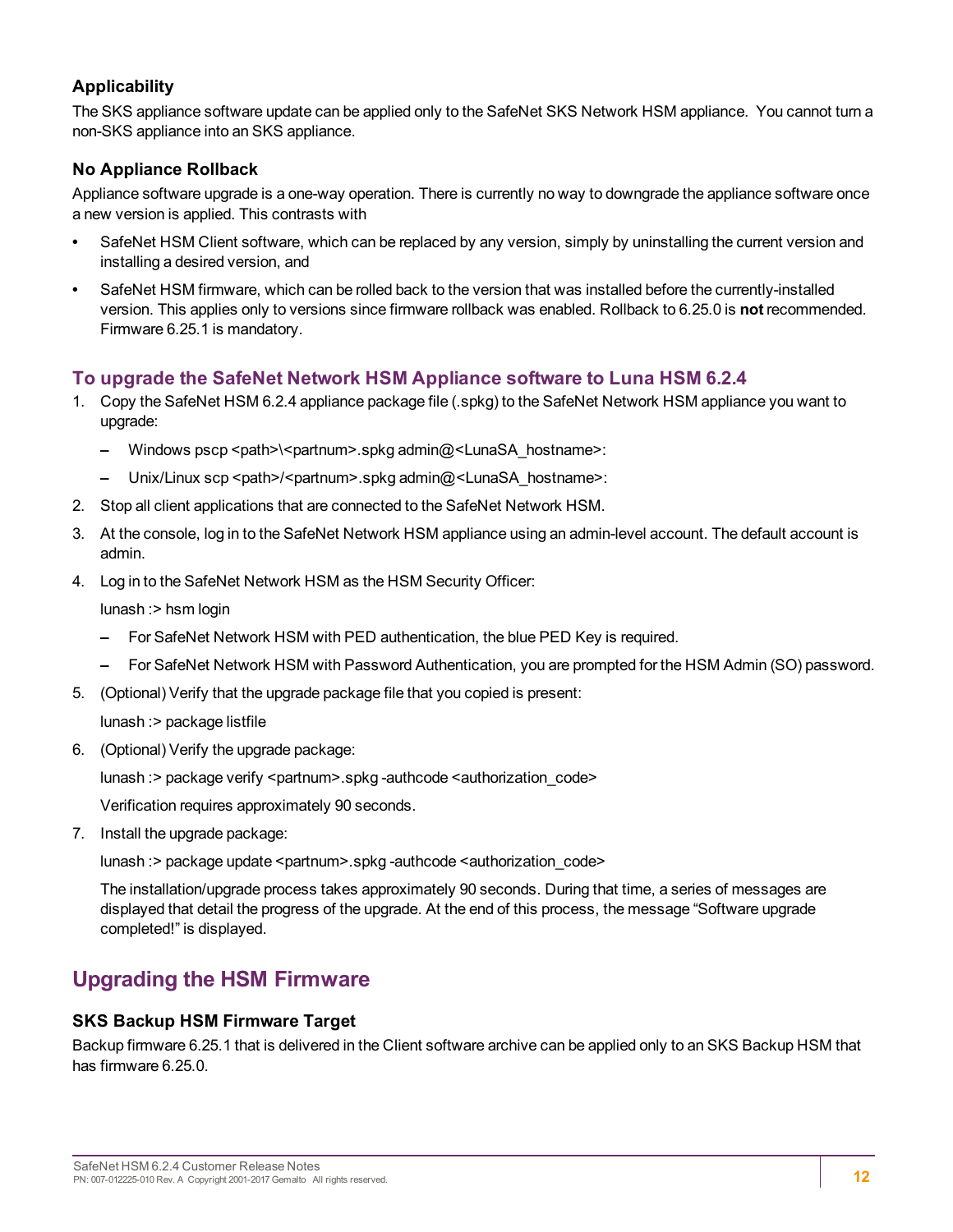#### **Applicability**

The SKS appliance software update can be applied only to the SafeNet SKS Network HSM appliance. You cannot turn a non-SKS appliance into an SKS appliance.

#### **No Appliance Rollback**

Appliance software upgrade is a one-way operation. There is currently no way to downgrade the appliance software once a new version is applied. This contrasts with

- **•** SafeNet HSM Client software, which can be replaced by any version, simply by uninstalling the current version and installing a desired version, and
- **•** SafeNet HSM firmware, which can be rolled back to the version that was installed before the currently-installed version. This applies only to versions since firmware rollback was enabled. Rollback to 6.25.0 is **not** recommended. Firmware 6.25.1 is mandatory.

#### **To upgrade the SafeNet Network HSM Appliance software to Luna HSM 6.2.4**

- 1. Copy the SafeNet HSM 6.2.4 appliance package file (.spkg) to the SafeNet Network HSM appliance you want to upgrade:
	- **–** Windows pscp <path>\<partnum>.spkg admin@<LunaSA\_hostname>:
	- **–** Unix/Linux scp <path>/<partnum>.spkg admin@<LunaSA\_hostname>:
- 2. Stop all client applications that are connected to the SafeNet Network HSM.
- 3. At the console, log in to the SafeNet Network HSM appliance using an admin-level account. The default account is admin.
- 4. Log in to the SafeNet Network HSM as the HSM Security Officer:

lunash :> hsm login

- **–** For SafeNet Network HSM with PED authentication, the blue PED Key is required.
- **–** For SafeNet Network HSM with Password Authentication, you are prompted for the HSM Admin (SO) password.
- 5. (Optional) Verify that the upgrade package file that you copied is present:

lunash :> package listfile

6. (Optional) Verify the upgrade package:

lunash :> package verify <partnum>.spkg -authcode <authorization\_code>

Verification requires approximately 90 seconds.

7. Install the upgrade package:

lunash : > package update <partnum>.spkg -authcode <authorization\_code>

The installation/upgrade process takes approximately 90 seconds. During that time, a series of messages are displayed that detail the progress of the upgrade. At the end of this process, the message "Software upgrade completed!" is displayed.

### <span id="page-11-0"></span>**Upgrading the HSM Firmware**

#### **SKS Backup HSM Firmware Target**

Backup firmware 6.25.1 that is delivered in the Client software archive can be applied only to an SKS Backup HSM that has firmware 6.25.0.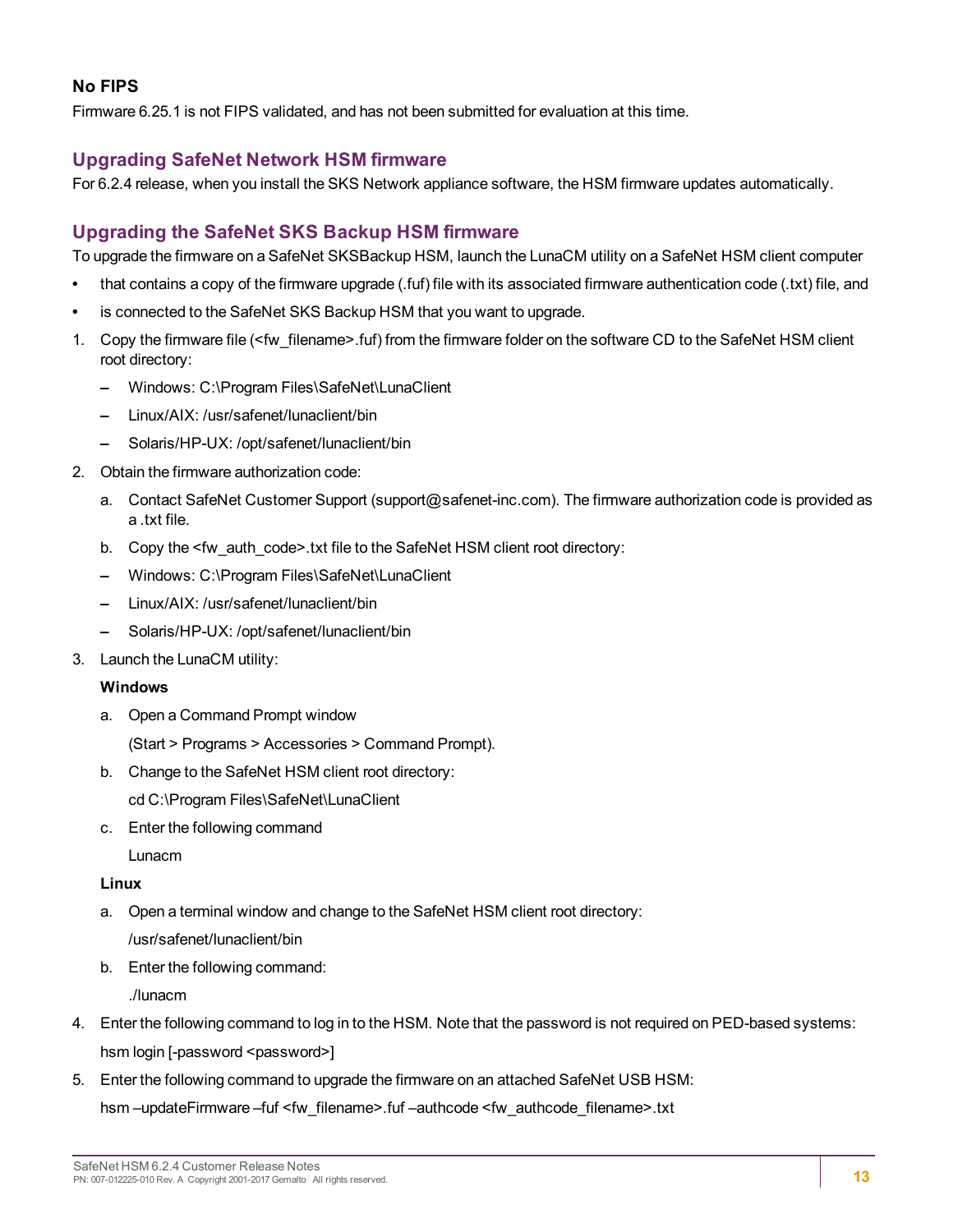#### **No FIPS**

Firmware 6.25.1 is not FIPS validated, and has not been submitted for evaluation at this time.

#### **Upgrading SafeNet Network HSM firmware**

For 6.2.4 release, when you install the SKS Network appliance software, the HSM firmware updates automatically.

#### **Upgrading the SafeNet SKS Backup HSM firmware**

To upgrade the firmware on a SafeNet SKSBackup HSM, launch the LunaCM utility on a SafeNet HSM client computer

- **•** that contains a copy of the firmware upgrade (.fuf) file with its associated firmware authentication code (.txt) file, and
- **•** is connected to the SafeNet SKS Backup HSM that you want to upgrade.
- 1. Copy the firmware file (<fw\_filename>.fuf) from the firmware folder on the software CD to the SafeNet HSM client root directory:
	- **–** Windows: C:\Program Files\SafeNet\LunaClient
	- **–** Linux/AIX: /usr/safenet/lunaclient/bin
	- **–** Solaris/HP-UX: /opt/safenet/lunaclient/bin
- 2. Obtain the firmware authorization code:
	- a. Contact SafeNet Customer Support (support@safenet-inc.com). The firmware authorization code is provided as a .txt file.
	- b. Copy the <fw\_auth\_code>.txt file to the SafeNet HSM client root directory:
	- **–** Windows: C:\Program Files\SafeNet\LunaClient
	- **–** Linux/AIX: /usr/safenet/lunaclient/bin
	- **–** Solaris/HP-UX: /opt/safenet/lunaclient/bin
- 3. Launch the LunaCM utility:

#### **Windows**

a. Open a Command Prompt window

(Start > Programs > Accessories > Command Prompt).

b. Change to the SafeNet HSM client root directory:

cd C:\Program Files\SafeNet\LunaClient

c. Enter the following command

Lunacm

#### **Linux**

- a. Open a terminal window and change to the SafeNet HSM client root directory:
	- /usr/safenet/lunaclient/bin
- b. Enter the following command:

./lunacm

- 4. Enter the following command to log in to the HSM. Note that the password is not required on PED-based systems: hsm login [-password <password>]
- 5. Enter the following command to upgrade the firmware on an attached SafeNet USB HSM:

hsm –updateFirmware –fuf <fw\_filename>.fuf –authcode <fw\_authcode\_filename>.txt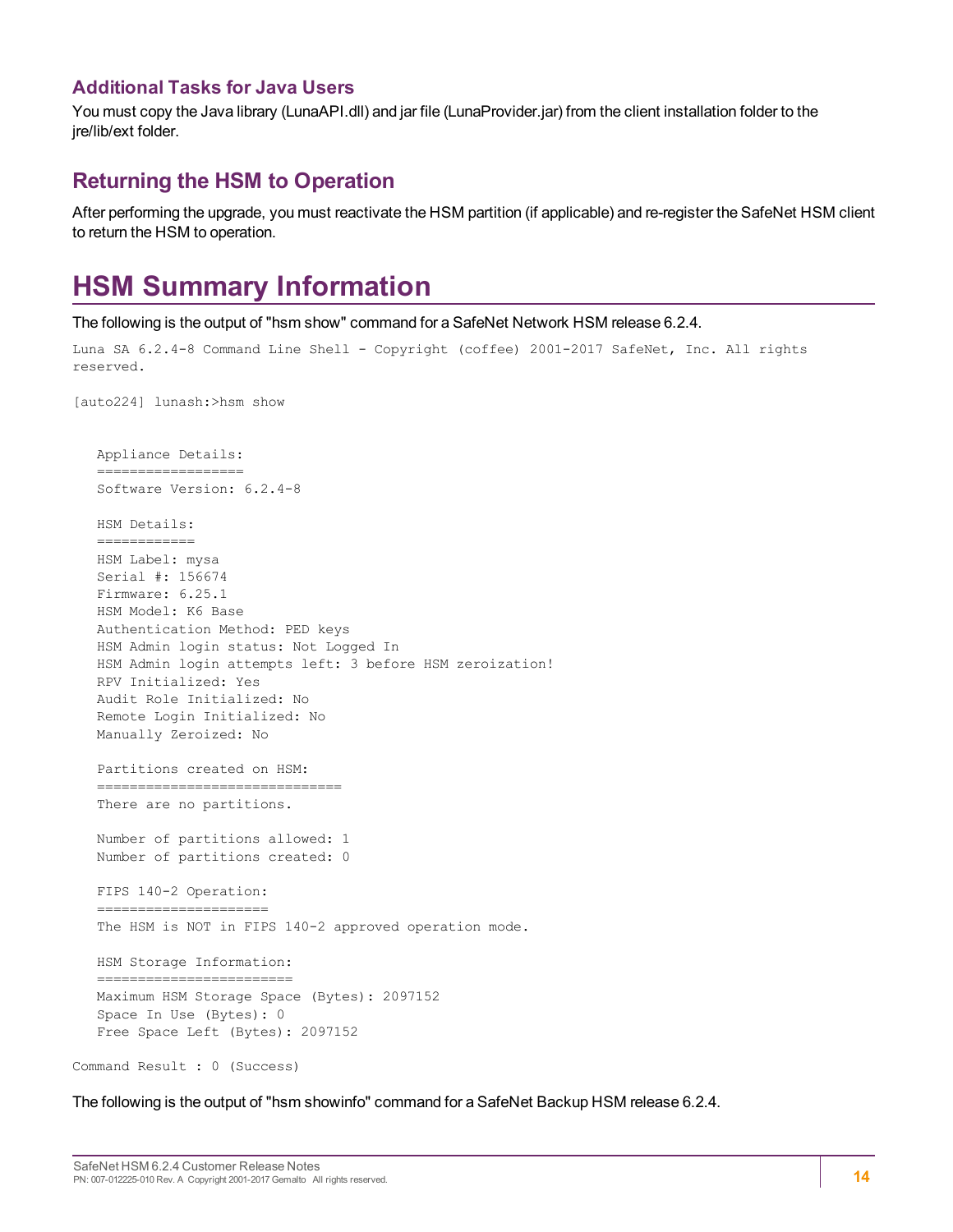#### **Additional Tasks for Java Users**

You must copy the Java library (LunaAPI.dll) and jar file (LunaProvider.jar) from the client installation folder to the ire/lib/ext folder.

#### <span id="page-13-0"></span>**Returning the HSM to Operation**

<span id="page-13-1"></span>After performing the upgrade, you must reactivate the HSM partition (if applicable) and re-register the SafeNet HSM client to return the HSM to operation.

## **HSM Summary Information**

The following is the output of "hsm show" command for a SafeNet Network HSM release 6.2.4.

```
Luna SA 6.2.4-8 Command Line Shell - Copyright (coffee) 2001-2017 SafeNet, Inc. All rights
reserved.
[auto224] lunash:>hsm show
      Appliance Details:
      ==================
      Software Version: 6.2.4-8
      HSM Details:
      ============
      HSM Label: mysa
      Serial #: 156674
      Firmware: 6.25.1
      HSM Model: K6 Base
      Authentication Method: PED keys
      HSM Admin login status: Not Logged In
      HSM Admin login attempts left: 3 before HSM zeroization!
      RPV Initialized: Yes
      Audit Role Initialized: No
      Remote Login Initialized: No
      Manually Zeroized: No
      Partitions created on HSM:
      ==============================
      There are no partitions.
   Number of partitions allowed: 1
      Number of partitions created: 0
      FIPS 140-2 Operation:
   =====================
      The HSM is NOT in FIPS 140-2 approved operation mode.
      HSM Storage Information:
   =========================
      Maximum HSM Storage Space (Bytes): 2097152
      Space In Use (Bytes): 0
      Free Space Left (Bytes): 2097152
Command Result : 0 (Success)
```
The following is the output of "hsm showinfo" command for a SafeNet Backup HSM release 6.2.4.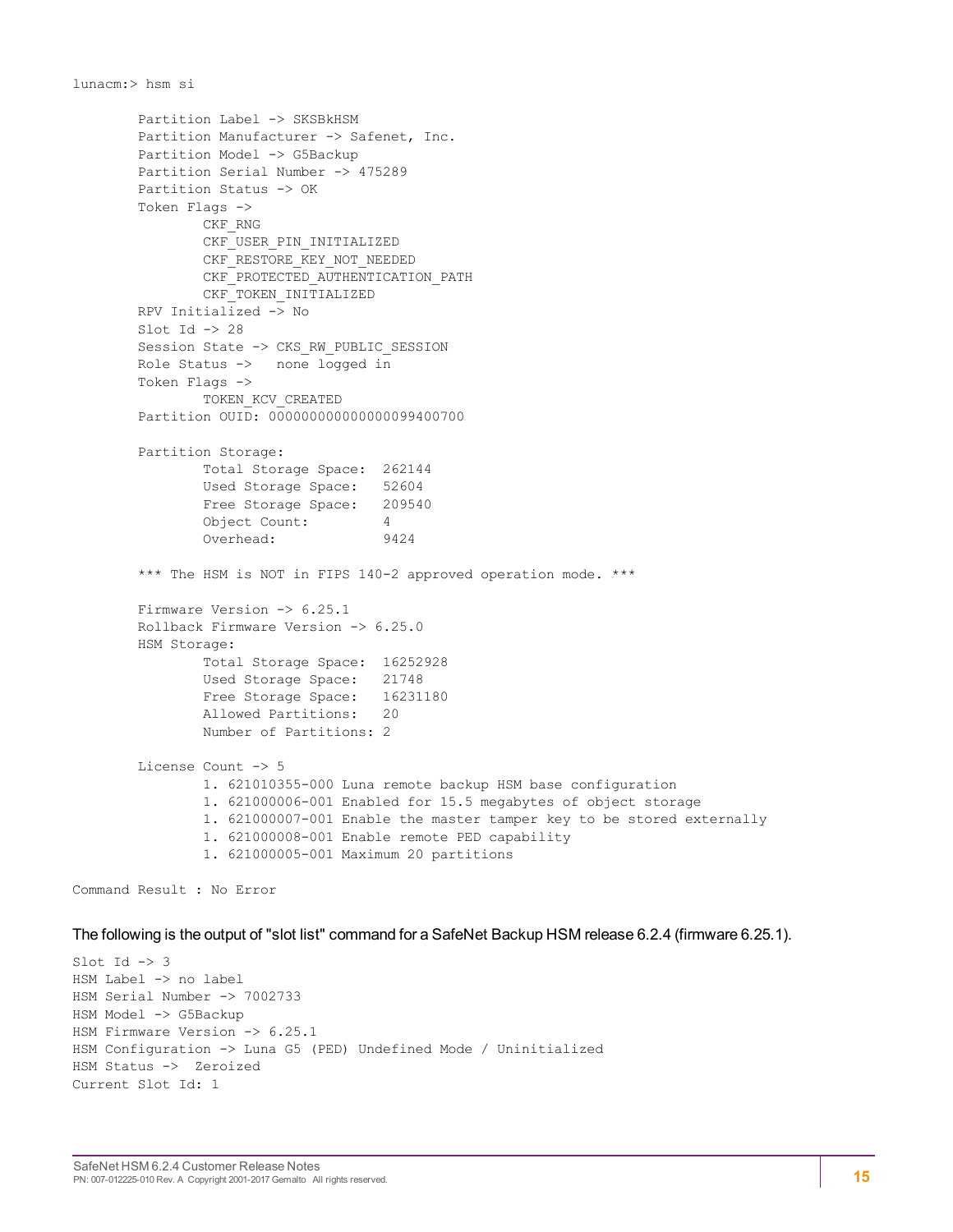```
Partition Label -> SKSBkHSM
       Partition Manufacturer -> Safenet, Inc.
       Partition Model -> G5Backup
       Partition Serial Number -> 475289
       Partition Status -> OK
       Token Flags ->
               CKF_RNG
               CKF_USER_PIN_INITIALIZED
               CKF_RESTORE_KEY_NOT_NEEDED
               CKF_PROTECTED_AUTHENTICATION_PATH
               CKF_TOKEN_INITIALIZED
       RPV Initialized -> No
       Slot Id \rightarrow 28
       Session State -> CKS_RW_PUBLIC_SESSION
       Role Status -> none logged in
       Token Flags ->
               TOKEN_KCV_CREATED
       Partition OUID: 000000000000000099400700
       Partition Storage:
               Total Storage Space: 262144
               Used Storage Space: 52604
               Free Storage Space: 209540
               Object Count: 4
               Overhead: 9424
       *** The HSM is NOT in FIPS 140-2 approved operation mode. ***
       Firmware Version -> 6.25.1
       Rollback Firmware Version -> 6.25.0
       HSM Storage:
               Total Storage Space: 16252928
               Used Storage Space: 21748
               Free Storage Space: 16231180
               Allowed Partitions: 20
               Number of Partitions: 2
       License Count -> 5
               1. 621010355-000 Luna remote backup HSM base configuration
               1. 621000006-001 Enabled for 15.5 megabytes of object storage
               1. 621000007-001 Enable the master tamper key to be stored externally
               1. 621000008-001 Enable remote PED capability
               1. 621000005-001 Maximum 20 partitions
Command Result : No Error
```

```
The following is the output of "slot list" command for a SafeNet Backup HSM release 6.2.4 (firmware 6.25.1).
```

```
Slot Id \rightarrow 3HSM Label -> no label
HSM Serial Number -> 7002733
HSM Model -> G5Backup
HSM Firmware Version -> 6.25.1
HSM Configuration -> Luna G5 (PED) Undefined Mode / Uninitialized
HSM Status -> Zeroized
Current Slot Id: 1
```
lunacm:> hsm si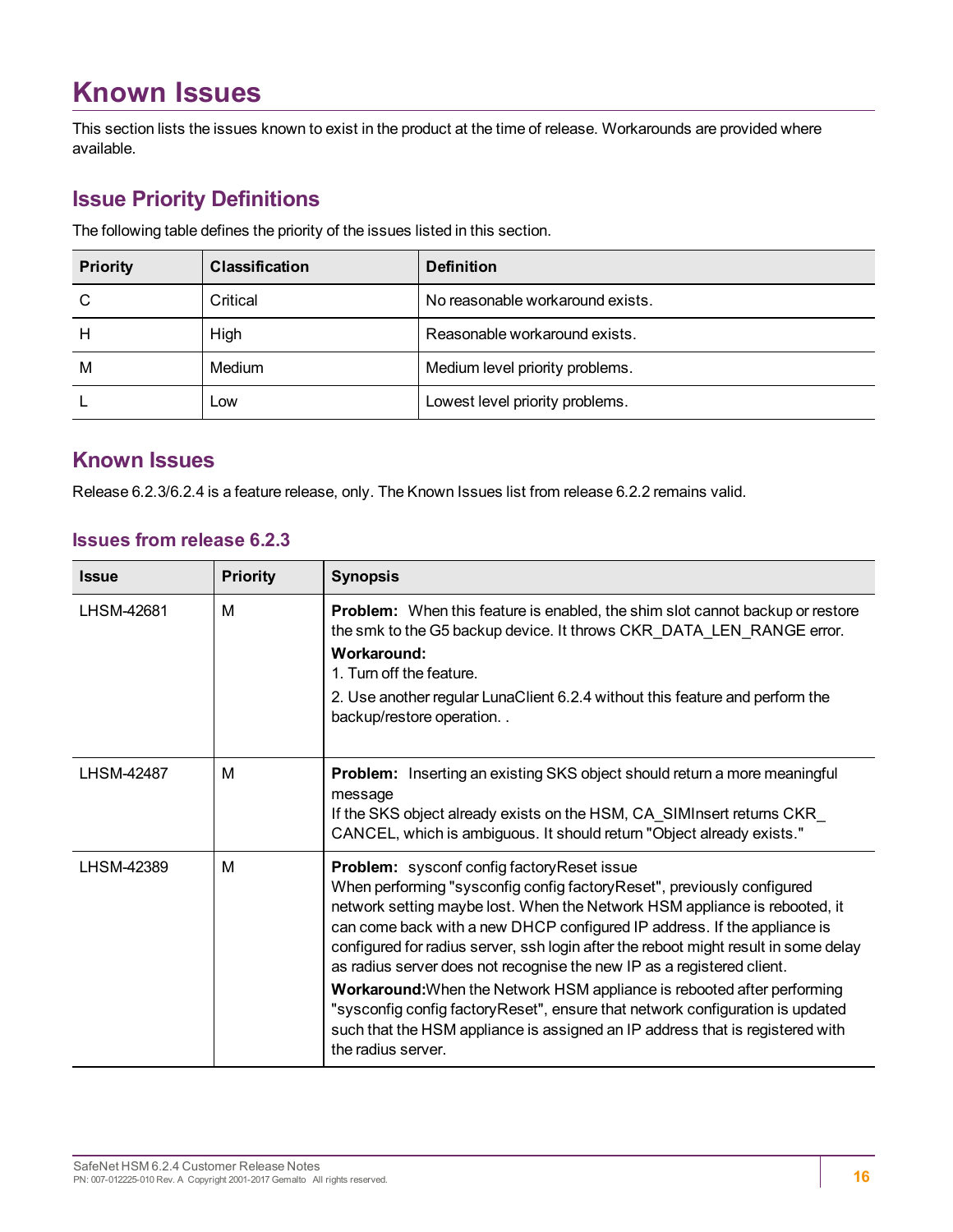## <span id="page-15-0"></span>**Known Issues**

This section lists the issues known to exist in the product at the time of release. Workarounds are provided where available.

### <span id="page-15-1"></span>**Issue Priority Definitions**

The following table defines the priority of the issues listed in this section.

| <b>Priority</b> | <b>Classification</b> | <b>Definition</b>                |
|-----------------|-----------------------|----------------------------------|
| C               | Critical              | No reasonable workaround exists. |
| н               | High                  | Reasonable workaround exists.    |
| M               | Medium                | Medium level priority problems.  |
|                 | Low                   | Lowest level priority problems.  |

### <span id="page-15-2"></span>**Known Issues**

Release 6.2.3/6.2.4 is a feature release, only. The Known Issues list from release 6.2.2 remains valid.

#### **Issues from release 6.2.3**

| <b>Issue</b>      | <b>Priority</b> | <b>Synopsis</b>                                                                                                                                                                                                                                                                                                                                                                                                                                                                                                                                                                                                                                                                                                              |
|-------------------|-----------------|------------------------------------------------------------------------------------------------------------------------------------------------------------------------------------------------------------------------------------------------------------------------------------------------------------------------------------------------------------------------------------------------------------------------------------------------------------------------------------------------------------------------------------------------------------------------------------------------------------------------------------------------------------------------------------------------------------------------------|
| LHSM-42681        | M               | <b>Problem:</b> When this feature is enabled, the shim slot cannot backup or restore<br>the smk to the G5 backup device. It throws CKR_DATA_LEN_RANGE error.<br>Workaround:<br>1. Turn off the feature.<br>2. Use another regular LunaClient 6.2.4 without this feature and perform the<br>backup/restore operation                                                                                                                                                                                                                                                                                                                                                                                                          |
| <b>LHSM-42487</b> | м               | <b>Problem:</b> Inserting an existing SKS object should return a more meaningful<br>message<br>If the SKS object already exists on the HSM, CA_SIMInsert returns CKR_<br>CANCEL, which is ambiguous. It should return "Object already exists."                                                                                                                                                                                                                                                                                                                                                                                                                                                                               |
| LHSM-42389        | M               | <b>Problem:</b> sysconf config factory Reset issue<br>When performing "sysconfig config factory Reset", previously configured<br>network setting maybe lost. When the Network HSM appliance is rebooted, it<br>can come back with a new DHCP configured IP address. If the appliance is<br>configured for radius server, ssh login after the reboot might result in some delay<br>as radius server does not recognise the new IP as a registered client.<br>Workaround: When the Network HSM appliance is rebooted after performing<br>"sysconfig config factory Reset", ensure that network configuration is updated<br>such that the HSM appliance is assigned an IP address that is registered with<br>the radius server. |